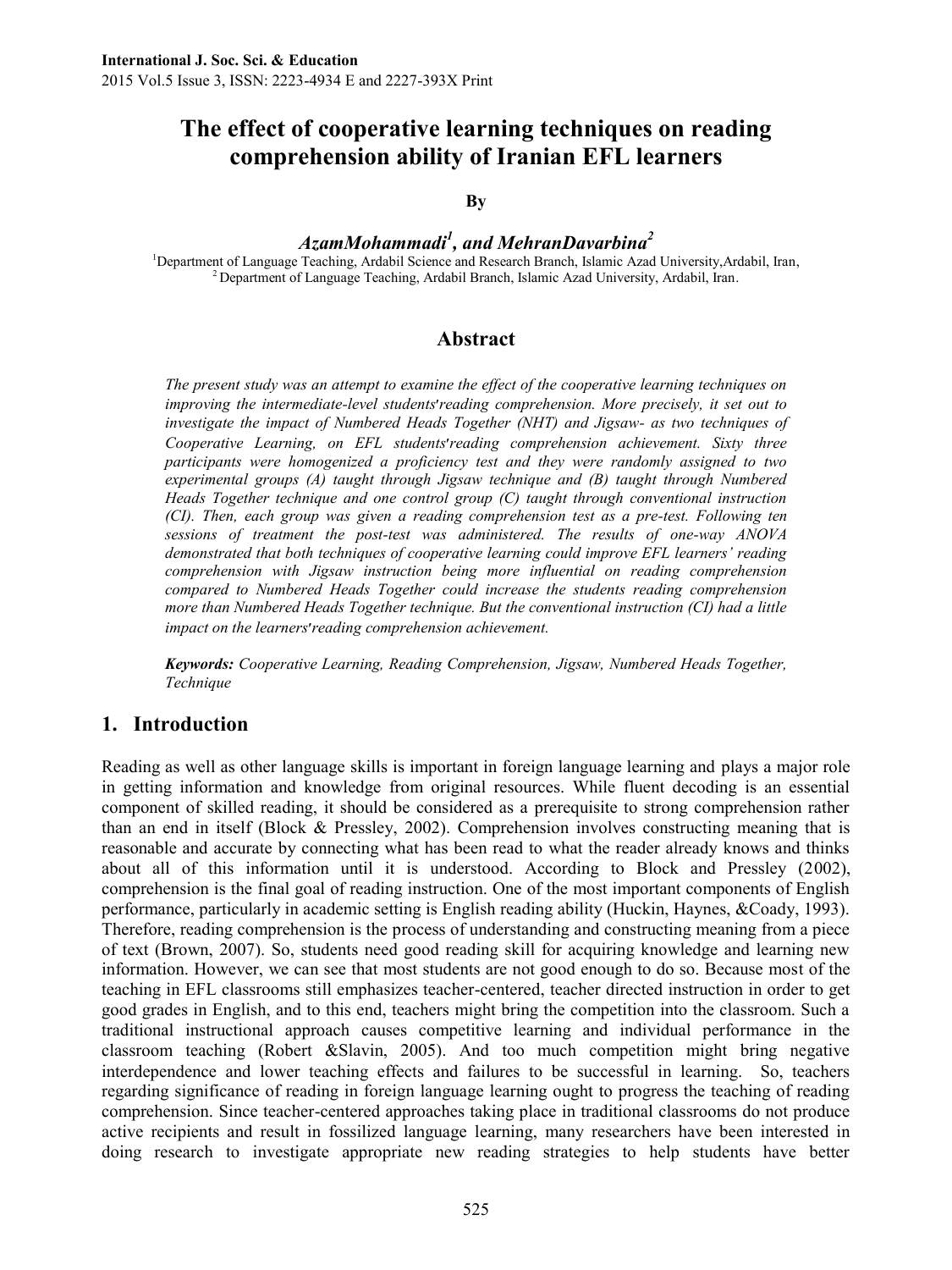# **The effect of cooperative learning techniques on reading comprehension ability of Iranian EFL learners**

#### **By**

### *AzamMohammadi<sup>1</sup> , and MehranDavarbina<sup>2</sup>*

<sup>1</sup>Department of Language Teaching, Ardabil Science and Research Branch, Islamic Azad University,Ardabil, Iran, <sup>2</sup> Department of Language Teaching, Ardabil Branch, Islamic Azad University, Ardabil, Iran.

#### **Abstract**

*The present study was an attempt to examine the effect of the cooperative learning techniques on improving the intermediate-level students*׳*reading comprehension. More precisely, it set out to investigate the impact of Numbered Heads Together (NHT) and Jigsaw- as two techniques of Cooperative Learning, on EFL students*׳*reading comprehension achievement. Sixty three participants were homogenized a proficiency test and they were randomly assigned to two experimental groups (A) taught through Jigsaw technique and (B) taught through Numbered Heads Together technique and one control group (C) taught through conventional instruction (CI). Then, each group was given a reading comprehension test as a pre-test. Following ten sessions of treatment the post-test was administered. The results of one-way ANOVA demonstrated that both techniques of cooperative learning could improve EFL learners' reading comprehension with Jigsaw instruction being more influential on reading comprehension compared to Numbered Heads Together could increase the students reading comprehension more than Numbered Heads Together technique. But the conventional instruction (CI) had a little impact on the learners*׳*reading comprehension achievement.*

*Keywords: Cooperative Learning, Reading Comprehension, Jigsaw, Numbered Heads Together, Technique*

#### **1. Introduction**

Reading as well as other language skills is important in foreign language learning and plays a major role in getting information and knowledge from original resources. While fluent decoding is an essential component of skilled reading, it should be considered as a prerequisite to strong comprehension rather than an end in itself (Block & Pressley, 2002). Comprehension involves constructing meaning that is reasonable and accurate by connecting what has been read to what the reader already knows and thinks about all of this information until it is understood. According to Block and Pressley (2002), comprehension is the final goal of reading instruction. One of the most important components of English performance, particularly in academic setting is English reading ability (Huckin, Haynes, &Coady, 1993). Therefore, reading comprehension is the process of understanding and constructing meaning from a piece of text (Brown, 2007). So, students need good reading skill for acquiring knowledge and learning new information. However, we can see that most students are not good enough to do so. Because most of the teaching in EFL classrooms still emphasizes teacher-centered, teacher directed instruction in order to get good grades in English, and to this end, teachers might bring the competition into the classroom. Such a traditional instructional approach causes competitive learning and individual performance in the classroom teaching (Robert &Slavin, 2005). And too much competition might bring negative interdependence and lower teaching effects and failures to be successful in learning. So, teachers regarding significance of reading in foreign language learning ought to progress the teaching of reading comprehension. Since teacher-centered approaches taking place in traditional classrooms do not produce active recipients and result in fossilized language learning, many researchers have been interested in doing research to investigate appropriate new reading strategies to help students have better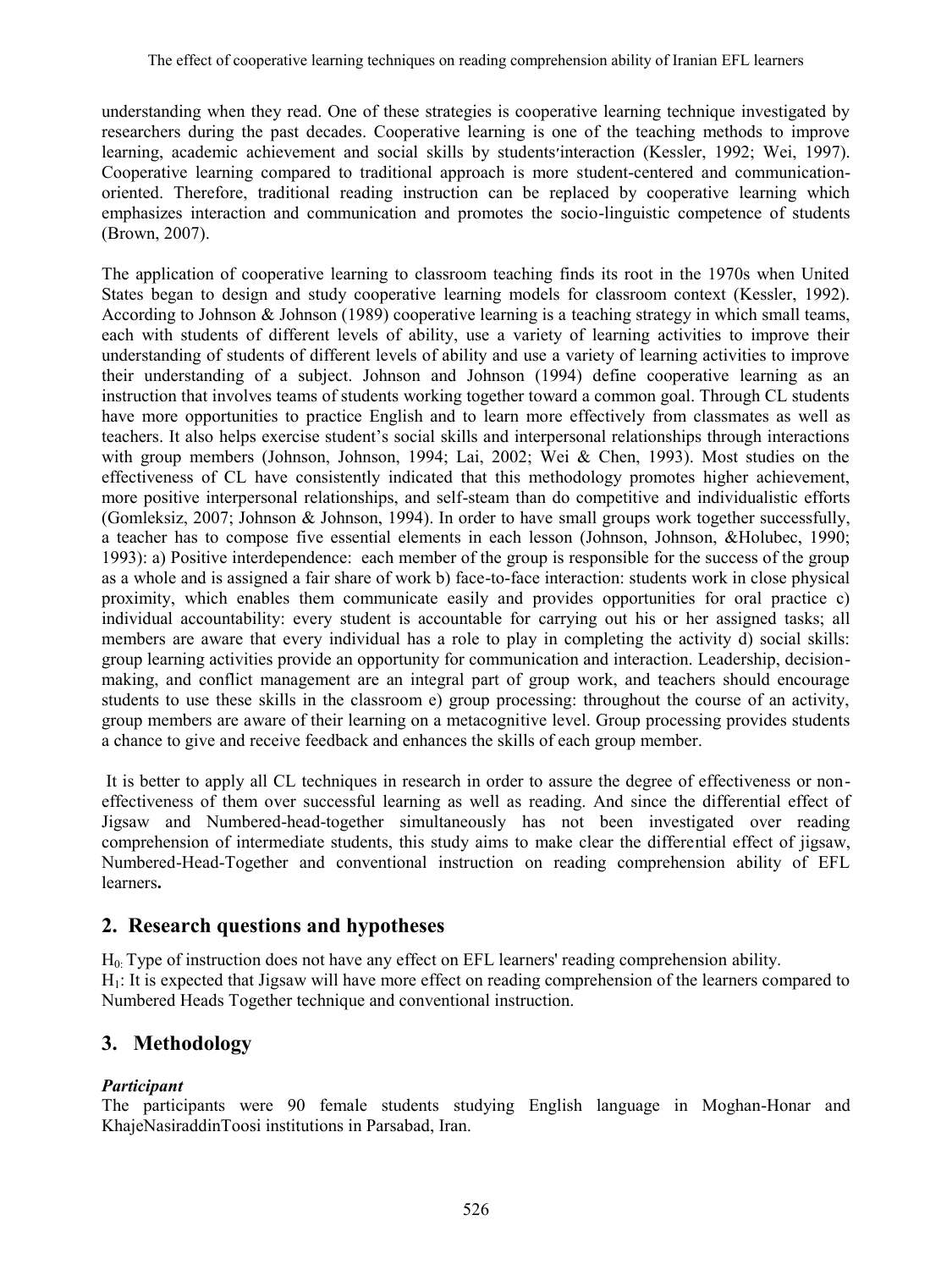understanding when they read. One of these strategies is cooperative learning technique investigated by researchers during the past decades. Cooperative learning is one of the teaching methods to improve learning, academic achievement and social skills by students׳interaction (Kessler, 1992; Wei, 1997). Cooperative learning compared to traditional approach is more student-centered and communicationoriented. Therefore, traditional reading instruction can be replaced by cooperative learning which emphasizes interaction and communication and promotes the socio-linguistic competence of students (Brown, 2007).

The application of cooperative learning to classroom teaching finds its root in the 1970s when United States began to design and study cooperative learning models for classroom context (Kessler, 1992). According to Johnson & Johnson (1989) cooperative learning is a teaching strategy in which small teams, each with students of different levels of ability, use a variety of learning activities to improve their understanding of students of different levels of ability and use a variety of learning activities to improve their understanding of a subject. Johnson and Johnson (1994) define cooperative learning as an instruction that involves teams of students working together toward a common goal. Through CL students have more opportunities to practice English and to learn more effectively from classmates as well as teachers. It also helps exercise student's social skills and interpersonal relationships through interactions with group members (Johnson, Johnson, 1994; Lai, 2002; Wei & Chen, 1993). Most studies on the effectiveness of CL have consistently indicated that this methodology promotes higher achievement, more positive interpersonal relationships, and self-steam than do competitive and individualistic efforts (Gomleksiz, 2007; Johnson & Johnson, 1994). In order to have small groups work together successfully, a teacher has to compose five essential elements in each lesson (Johnson, Johnson, &Holubec, 1990; 1993): a) Positive interdependence: each member of the group is responsible for the success of the group as a whole and is assigned a fair share of work b) face-to-face interaction: students work in close physical proximity, which enables them communicate easily and provides opportunities for oral practice c) individual accountability: every student is accountable for carrying out his or her assigned tasks; all members are aware that every individual has a role to play in completing the activity d) social skills: group learning activities provide an opportunity for communication and interaction. Leadership, decisionmaking, and conflict management are an integral part of group work, and teachers should encourage students to use these skills in the classroom e) group processing: throughout the course of an activity, group members are aware of their learning on a metacognitive level. Group processing provides students a chance to give and receive feedback and enhances the skills of each group member.

It is better to apply all CL techniques in research in order to assure the degree of effectiveness or noneffectiveness of them over successful learning as well as reading. And since the differential effect of Jigsaw and Numbered-head-together simultaneously has not been investigated over reading comprehension of intermediate students, this study aims to make clear the differential effect of jigsaw, Numbered-Head-Together and conventional instruction on reading comprehension ability of EFL learners**.**

### **2. Research questions and hypotheses**

 $H<sub>0</sub>$ . Type of instruction does not have any effect on EFL learners' reading comprehension ability.  $H_1$ : It is expected that Jigsaw will have more effect on reading comprehension of the learners compared to Numbered Heads Together technique and conventional instruction.

# **3. Methodology**

### *Participant*

The participants were 90 female students studying English language in Moghan-Honar and KhajeNasiraddinToosi institutions in Parsabad, Iran.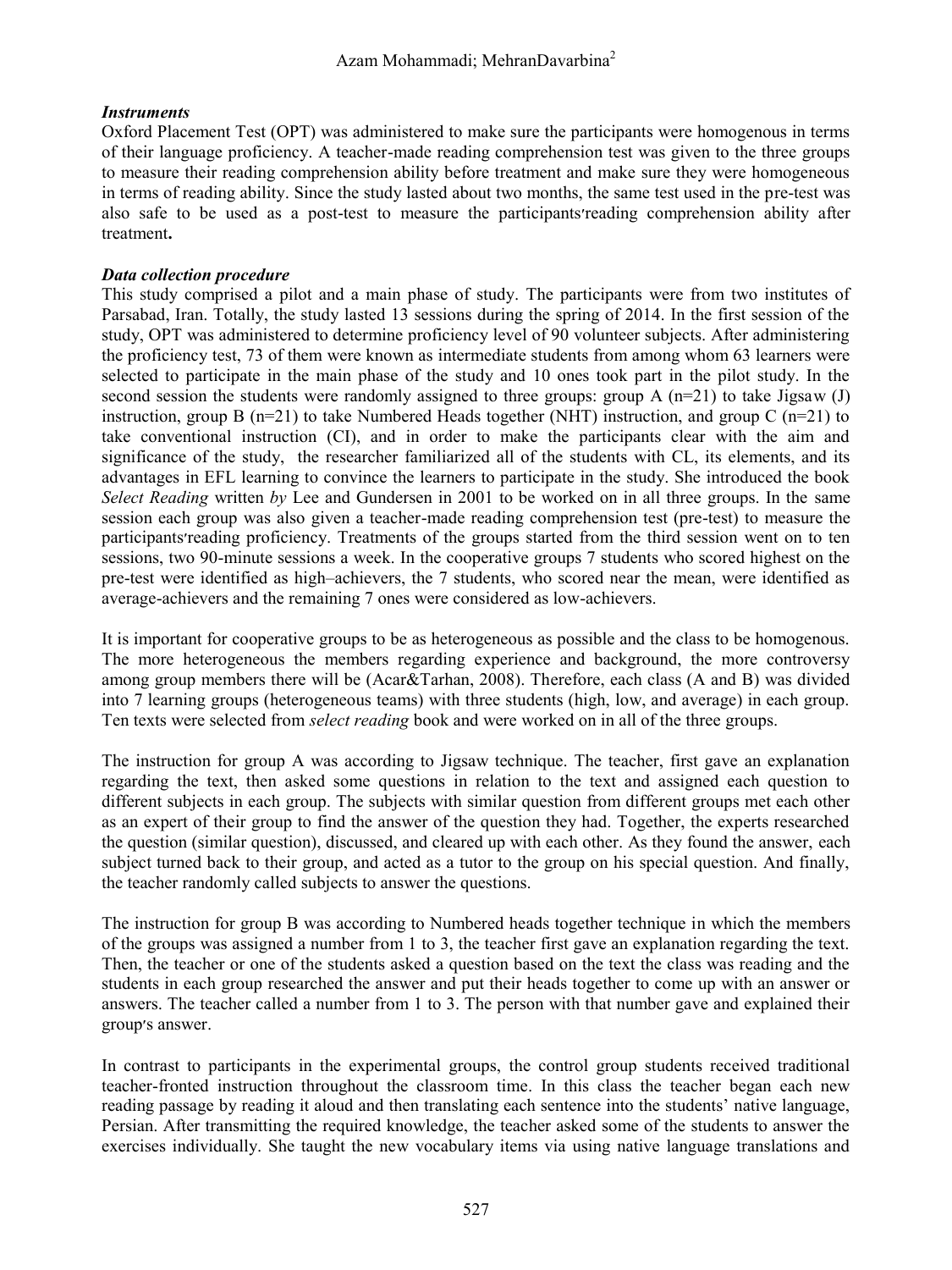#### *Instruments*

Oxford Placement Test (OPT) was administered to make sure the participants were homogenous in terms of their language proficiency. A teacher-made reading comprehension test was given to the three groups to measure their reading comprehension ability before treatment and make sure they were homogeneous in terms of reading ability. Since the study lasted about two months, the same test used in the pre-test was also safe to be used as a post-test to measure the participants׳reading comprehension ability after treatment**.**

#### *Data collection procedure*

This study comprised a pilot and a main phase of study. The participants were from two institutes of Parsabad, Iran. Totally, the study lasted 13 sessions during the spring of 2014. In the first session of the study, OPT was administered to determine proficiency level of 90 volunteer subjects. After administering the proficiency test, 73 of them were known as intermediate students from among whom 63 learners were selected to participate in the main phase of the study and 10 ones took part in the pilot study. In the second session the students were randomly assigned to three groups: group A  $(n=21)$  to take Jigsaw (J) instruction, group B  $(n=21)$  to take Numbered Heads together (NHT) instruction, and group C  $(n=21)$  to take conventional instruction (CI), and in order to make the participants clear with the aim and significance of the study, the researcher familiarized all of the students with CL, its elements, and its advantages in EFL learning to convince the learners to participate in the study. She introduced the book *Select Reading* written *by* Lee and Gundersen in 2001 to be worked on in all three groups. In the same session each group was also given a teacher-made reading comprehension test (pre-test) to measure the participants׳reading proficiency. Treatments of the groups started from the third session went on to ten sessions, two 90-minute sessions a week. In the cooperative groups 7 students who scored highest on the pre-test were identified as high–achievers, the 7 students, who scored near the mean, were identified as average-achievers and the remaining 7 ones were considered as low-achievers.

It is important for cooperative groups to be as heterogeneous as possible and the class to be homogenous. The more heterogeneous the members regarding experience and background, the more controversy among group members there will be (Acar&Tarhan, 2008). Therefore, each class (A and B) was divided into 7 learning groups (heterogeneous teams) with three students (high, low, and average) in each group. Ten texts were selected from *select reading* book and were worked on in all of the three groups.

The instruction for group A was according to Jigsaw technique. The teacher, first gave an explanation regarding the text, then asked some questions in relation to the text and assigned each question to different subjects in each group. The subjects with similar question from different groups met each other as an expert of their group to find the answer of the question they had. Together, the experts researched the question (similar question), discussed, and cleared up with each other. As they found the answer, each subject turned back to their group, and acted as a tutor to the group on his special question. And finally, the teacher randomly called subjects to answer the questions.

The instruction for group B was according to Numbered heads together technique in which the members of the groups was assigned a number from 1 to 3, the teacher first gave an explanation regarding the text. Then, the teacher or one of the students asked a question based on the text the class was reading and the students in each group researched the answer and put their heads together to come up with an answer or answers. The teacher called a number from 1 to 3. The person with that number gave and explained their group׳s answer.

In contrast to participants in the experimental groups, the control group students received traditional teacher-fronted instruction throughout the classroom time. In this class the teacher began each new reading passage by reading it aloud and then translating each sentence into the students' native language, Persian. After transmitting the required knowledge, the teacher asked some of the students to answer the exercises individually. She taught the new vocabulary items via using native language translations and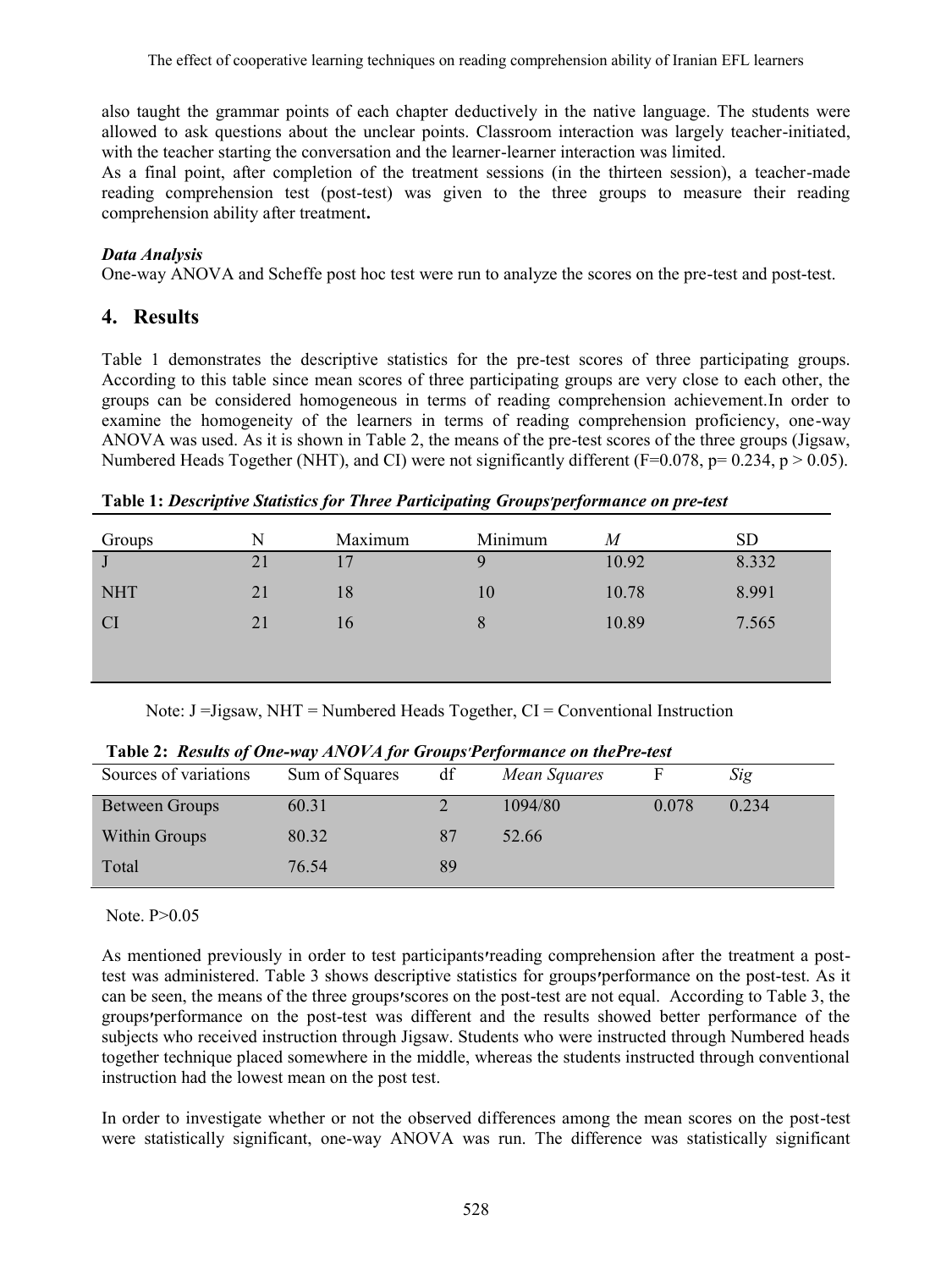also taught the grammar points of each chapter deductively in the native language. The students were allowed to ask questions about the unclear points. Classroom interaction was largely teacher-initiated, with the teacher starting the conversation and the learner-learner interaction was limited.

As a final point, after completion of the treatment sessions (in the thirteen session), a teacher-made reading comprehension test (post-test) was given to the three groups to measure their reading comprehension ability after treatment**.**

#### *Data Analysis*

One-way ANOVA and Scheffe post hoc test were run to analyze the scores on the pre-test and post-test.

### **4. Results**

Table 1 demonstrates the descriptive statistics for the pre-test scores of three participating groups. According to this table since mean scores of three participating groups are very close to each other, the groups can be considered homogeneous in terms of reading comprehension achievement.In order to examine the homogeneity of the learners in terms of reading comprehension proficiency, one-way ANOVA was used. As it is shown in Table 2, the means of the pre-test scores of the three groups (Jigsaw, Numbered Heads Together (NHT), and CI) were not significantly different ( $F=0.078$ ,  $p=0.234$ ,  $p>0.05$ ).

**Table 1:** *Descriptive Statistics for Three Participating Groups׳performance on pre-test*

| Groups     | N  | Maximum | Minimum | $\overline{M}$ | <b>SD</b> |
|------------|----|---------|---------|----------------|-----------|
| J          | 21 | 17      | 9       | 10.92          | 8.332     |
| <b>NHT</b> | 21 | 18      | 10      | 10.78          | 8.991     |
| <b>CI</b>  | 21 | 16      | 8       | 10.89          | 7.565     |
|            |    |         |         |                |           |
|            |    |         |         |                |           |

Note: J =Jigsaw, NHT = Numbered Heads Together, CI = Conventional Instruction

| Sources of variations | Sum of Squares | df | Mean Squares |       | Sig   |
|-----------------------|----------------|----|--------------|-------|-------|
| <b>Between Groups</b> | 60.31          |    | 1094/80      | 0.078 | 0.234 |
| Within Groups         | 80.32          | 87 | 52.66        |       |       |
| Total                 | 76.54          | 89 |              |       |       |

**Table 2:** *Results of One-way ANOVA for Groups׳Performance on thePre-test*

#### Note. P>0.05

As mentioned previously in order to test participants**׳**reading comprehension after the treatment a posttest was administered. Table 3 shows descriptive statistics for groups**׳**performance on the post-test. As it can be seen, the means of the three groups**׳**scores on the post-test are not equal. According to Table 3, the groups**׳**performance on the post-test was different and the results showed better performance of the subjects who received instruction through Jigsaw. Students who were instructed through Numbered heads together technique placed somewhere in the middle, whereas the students instructed through conventional instruction had the lowest mean on the post test.

In order to investigate whether or not the observed differences among the mean scores on the post-test were statistically significant, one-way ANOVA was run. The difference was statistically significant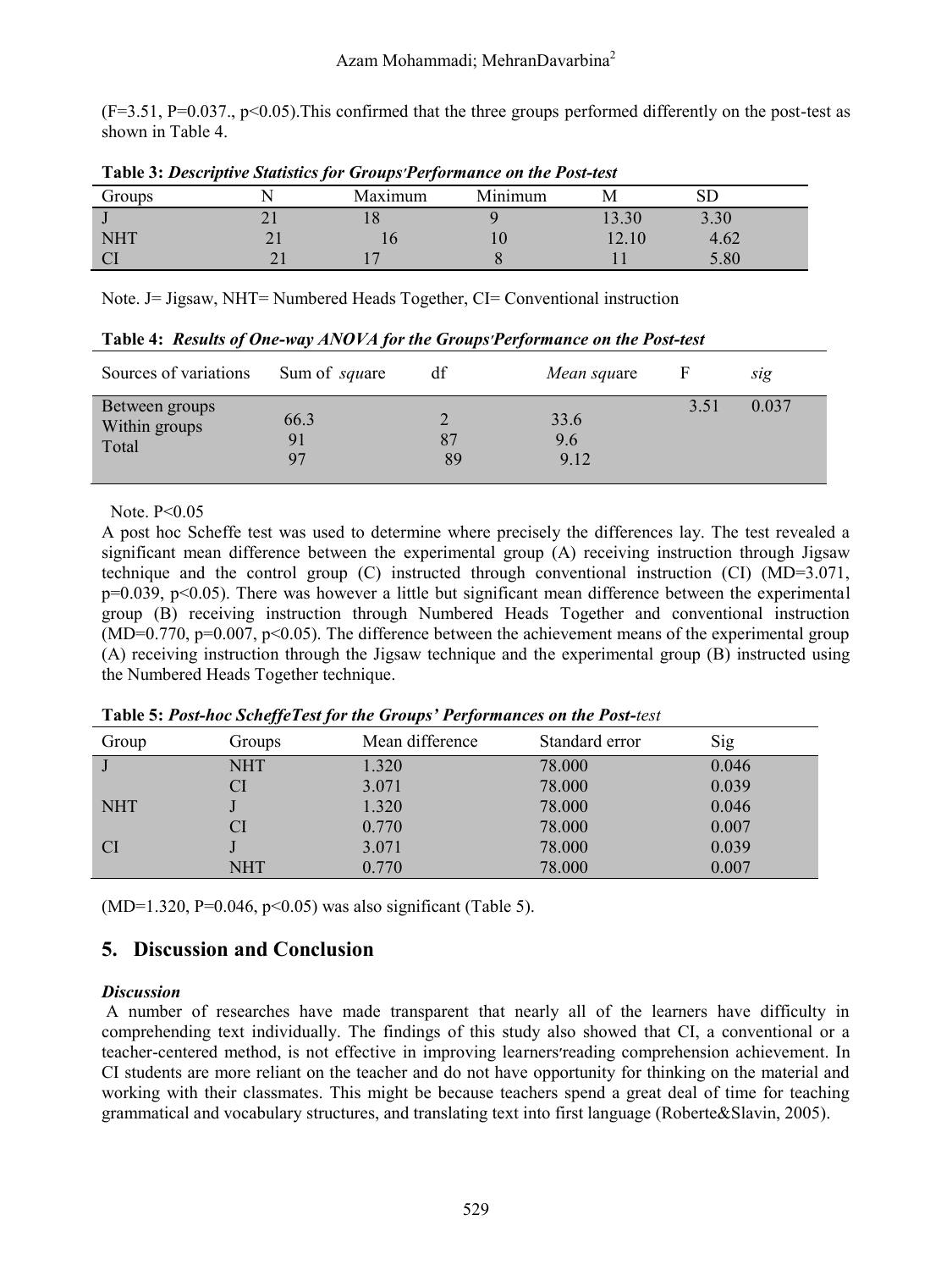$(F=3.51, P=0.037, p<0.05)$ . This confirmed that the three groups performed differently on the post-test as shown in Table 4.

| <b>Lavit 5. Descriptive Statistics for Groups Lefformance on the Lost-lest</b> |  |         |         |             |      |  |
|--------------------------------------------------------------------------------|--|---------|---------|-------------|------|--|
| Groups                                                                         |  | Maximum | Minimum |             |      |  |
|                                                                                |  |         |         | $3.30^{-7}$ | 3.30 |  |
| NHT                                                                            |  |         |         | 12.10       | 4.62 |  |
|                                                                                |  |         |         |             | .80  |  |

**Table 3:** *Descriptive Statistics for Groups׳Performance on the Post-test*

Note. J= Jigsaw, NHT= Numbered Heads Together, CI= Conventional instruction

| Sources of variations                    | Sum of <i>square</i> | df       | <i>Mean square</i>  |      | sıg   |
|------------------------------------------|----------------------|----------|---------------------|------|-------|
| Between groups<br>Within groups<br>Total | 66.3<br>91<br>97     | 87<br>89 | 33.6<br>9.6<br>9.12 | 3.51 | 0.037 |

**Table 4:** *Results of One-way ANOVA for the Groups׳Performance on the Post-test*

Note. P<0.05

A post hoc Scheffe test was used to determine where precisely the differences lay. The test revealed a significant mean difference between the experimental group (A) receiving instruction through Jigsaw technique and the control group (C) instructed through conventional instruction (CI) (MD=3.071,  $p=0.039$ ,  $p<0.05$ ). There was however a little but significant mean difference between the experimental group (B) receiving instruction through Numbered Heads Together and conventional instruction  $(MD=0.770, p=0.007, p<0.05)$ . The difference between the achievement means of the experimental group (A) receiving instruction through the Jigsaw technique and the experimental group (B) instructed using the Numbered Heads Together technique.

| Group      | Groups     | Mean difference | Standard error | Sig   |
|------------|------------|-----------------|----------------|-------|
|            | <b>NHT</b> | 1.320           | 78,000         | 0.046 |
|            |            | 3.071           | 78.000         | 0.039 |
| <b>NHT</b> |            | 1.320           | 78,000         | 0.046 |
|            | <b>CI</b>  | 0.770           | 78,000         | 0.007 |
| <b>CI</b>  |            | 3.071           | 78,000         | 0.039 |
|            | <b>NHT</b> | 0.770           | 78.000         | 0.007 |

**Table 5:** *Post-hoc ScheffeTest for the Groups' Performances on the Post-test*

(MD=1.320, P=0.046, p<0.05) was also significant (Table 5).

# **5. Discussion and Conclusion**

#### *Discussion*

A number of researches have made transparent that nearly all of the learners have difficulty in comprehending text individually. The findings of this study also showed that CI, a conventional or a teacher-centered method, is not effective in improving learners׳reading comprehension achievement. In CI students are more reliant on the teacher and do not have opportunity for thinking on the material and working with their classmates. This might be because teachers spend a great deal of time for teaching grammatical and vocabulary structures, and translating text into first language (Roberte&Slavin, 2005).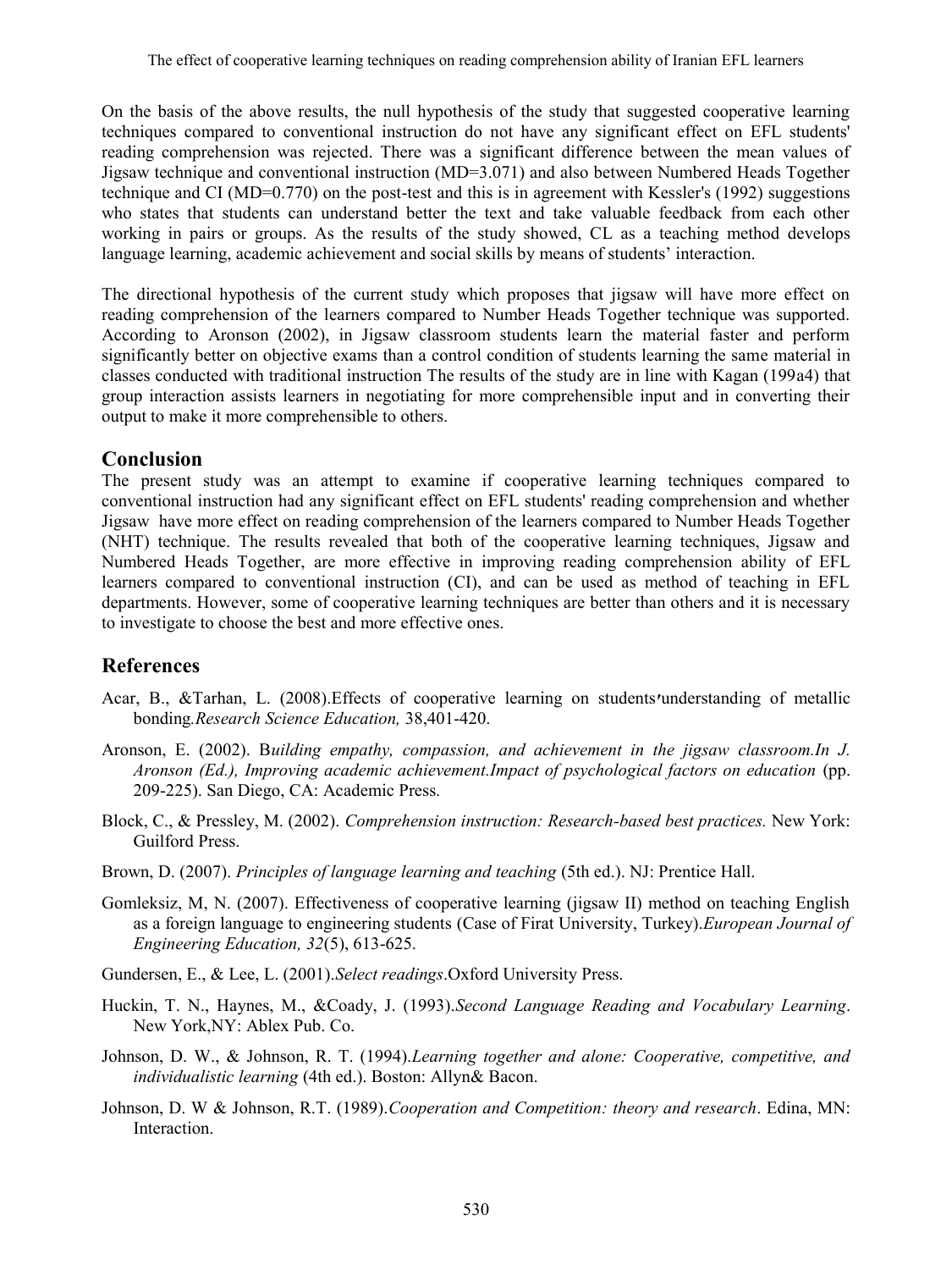On the basis of the above results, the null hypothesis of the study that suggested cooperative learning techniques compared to conventional instruction do not have any significant effect on EFL students' reading comprehension was rejected. There was a significant difference between the mean values of Jigsaw technique and conventional instruction (MD=3.071) and also between Numbered Heads Together technique and CI (MD=0.770) on the post-test and this is in agreement with Kessler's (1992) suggestions who states that students can understand better the text and take valuable feedback from each other working in pairs or groups. As the results of the study showed, CL as a teaching method develops language learning, academic achievement and social skills by means of students' interaction.

The directional hypothesis of the current study which proposes that jigsaw will have more effect on reading comprehension of the learners compared to Number Heads Together technique was supported. According to Aronson (2002), in Jigsaw classroom students learn the material faster and perform significantly better on objective exams than a control condition of students learning the same material in classes conducted with traditional instruction The results of the study are in line with Kagan (199a4) that group interaction assists learners in negotiating for more comprehensible input and in converting their output to make it more comprehensible to others.

## **Conclusion**

The present study was an attempt to examine if cooperative learning techniques compared to conventional instruction had any significant effect on EFL students' reading comprehension and whether Jigsaw have more effect on reading comprehension of the learners compared to Number Heads Together (NHT) technique. The results revealed that both of the cooperative learning techniques, Jigsaw and Numbered Heads Together, are more effective in improving reading comprehension ability of EFL learners compared to conventional instruction (CI), and can be used as method of teaching in EFL departments. However, some of cooperative learning techniques are better than others and it is necessary to investigate to choose the best and more effective ones.

# **References**

- Acar, B., &Tarhan, L. (2008).Effects of cooperative learning on students**׳**understanding of metallic bonding*.Research Science Education,* 38,401-420.
- Aronson, E. (2002). B*uilding empathy, compassion, and achievement in the jigsaw classroom.In J. Aronson (Ed.), Improving academic achievement.Impact of psychological factors on education* (pp. 209-225). San Diego, CA: Academic Press.
- Block, C., & Pressley, M. (2002). *Comprehension instruction: Research-based best practices.* New York: Guilford Press.
- Brown, D. (2007). *Principles of language learning and teaching* (5th ed.). NJ: Prentice Hall.
- Gomleksiz, M, N. (2007). Effectiveness of cooperative learning (jigsaw II) method on teaching English as a foreign language to engineering students (Case of Firat University, Turkey).*European Journal of Engineering Education, 32*(5), 613-625.
- Gundersen, E., & Lee, L. (2001).*Select readings*.Oxford University Press.
- Huckin, T. N., Haynes, M., &Coady, J. (1993).*Second Language Reading and Vocabulary Learning*. New York,NY: Ablex Pub. Co.
- Johnson, D. W., & Johnson, R. T. (1994).*Learning together and alone: Cooperative, competitive, and individualistic learning* (4th ed.). Boston: Allyn& Bacon.
- Johnson, D. W & Johnson, R.T. (1989).*Cooperation and Competition: theory and research*. Edina, MN: **Interaction**